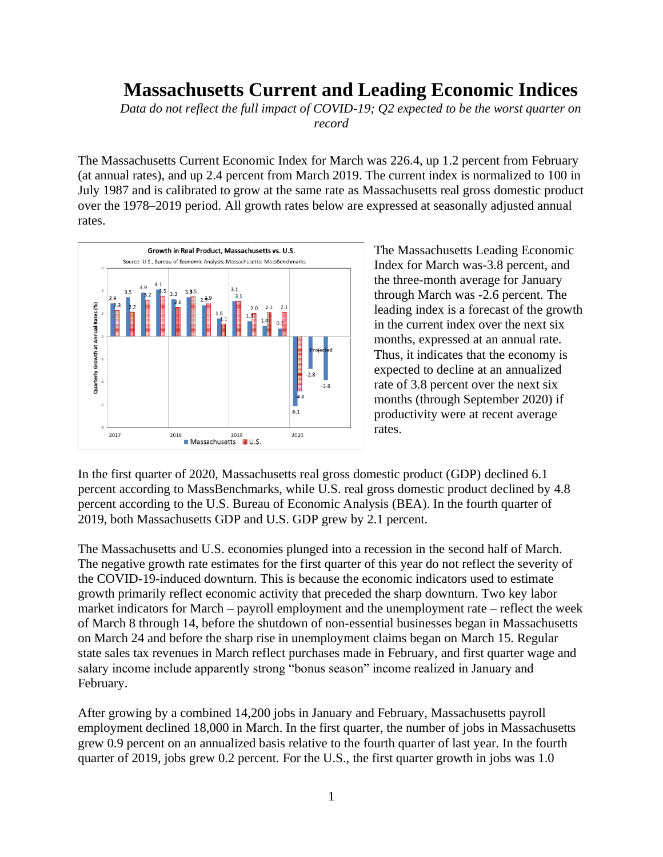## **Massachusetts Current and Leading Economic Indices**

*Data do not reflect the full impact of COVID-19; Q2 expected to be the worst quarter on record*

The Massachusetts Current Economic Index for March was 226.4, up 1.2 percent from February (at annual rates), and up 2.4 percent from March 2019. The current index is normalized to 100 in July 1987 and is calibrated to grow at the same rate as Massachusetts real gross domestic product over the 1978–2019 period. All growth rates below are expressed at seasonally adjusted annual rates.



The Massachusetts Leading Economic Index for March was-3.8 percent, and the three-month average for January through March was -2.6 percent. The leading index is a forecast of the growth in the current index over the next six months, expressed at an annual rate. Thus, it indicates that the economy is expected to decline at an annualized rate of 3.8 percent over the next six months (through September 2020) if productivity were at recent average rates.

In the first quarter of 2020, Massachusetts real gross domestic product (GDP) declined 6.1 percent according to MassBenchmarks, while U.S. real gross domestic product declined by 4.8 percent according to the U.S. Bureau of Economic Analysis (BEA). In the fourth quarter of 2019, both Massachusetts GDP and U.S. GDP grew by 2.1 percent.

The Massachusetts and U.S. economies plunged into a recession in the second half of March. The negative growth rate estimates for the first quarter of this year do not reflect the severity of the COVID-19-induced downturn. This is because the economic indicators used to estimate growth primarily reflect economic activity that preceded the sharp downturn. Two key labor market indicators for March – payroll employment and the unemployment rate – reflect the week of March 8 through 14, before the shutdown of non-essential businesses began in Massachusetts on March 24 and before the sharp rise in unemployment claims began on March 15. Regular state sales tax revenues in March reflect purchases made in February, and first quarter wage and salary income include apparently strong "bonus season" income realized in January and February.

After growing by a combined 14,200 jobs in January and February, Massachusetts payroll employment declined 18,000 in March. In the first quarter, the number of jobs in Massachusetts grew 0.9 percent on an annualized basis relative to the fourth quarter of last year. In the fourth quarter of 2019, jobs grew 0.2 percent. For the U.S., the first quarter growth in jobs was 1.0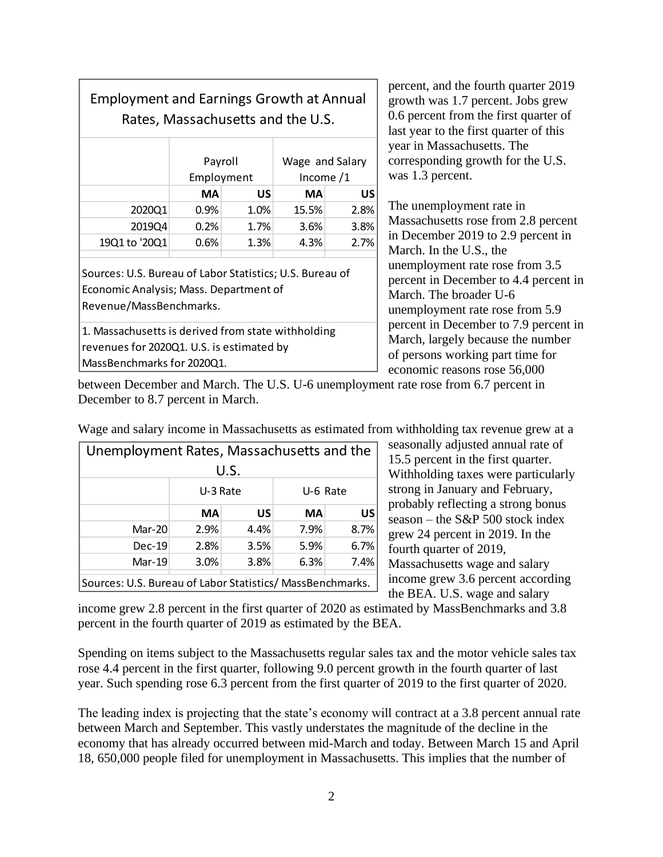| <b>Employment and Earnings Growth at Annual</b><br>Rates, Massachusetts and the U.S.                                          |                       |      |                                |      |  |  |  |
|-------------------------------------------------------------------------------------------------------------------------------|-----------------------|------|--------------------------------|------|--|--|--|
|                                                                                                                               | Payroll<br>Employment |      | Wage and Salary<br>Income $/1$ |      |  |  |  |
|                                                                                                                               | <b>MA</b>             | US   | МA                             | US   |  |  |  |
| 2020Q1                                                                                                                        | $0.9\%$               | 1.0% | 15.5%                          | 2.8% |  |  |  |
| 2019Q4                                                                                                                        | 0.2%                  | 1.7% | $3.6\%$                        | 3.8% |  |  |  |
| 19Q1 to '20Q1                                                                                                                 | 0.6%                  | 1.3% | 4.3%                           | 2.7% |  |  |  |
| Sources: U.S. Bureau of Labor Statistics; U.S. Bureau of<br>Economic Analysis; Mass. Department of<br>Revenue/MassBenchmarks. |                       |      |                                |      |  |  |  |
| 1. Massachusetts is derived from state withholding<br>revenues for 2020Q1. U.S. is estimated by<br>MassBenchmarks for 2020Q1. |                       |      |                                |      |  |  |  |

percent, and the fourth quarter 2019 growth was 1.7 percent. Jobs grew 0.6 percent from the first quarter of last year to the first quarter of this year in Massachusetts. The corresponding growth for the U.S. was 1.3 percent.

The unemployment rate in Massachusetts rose from 2.8 percent in December 2019 to 2.9 percent in March. In the U.S., the unemployment rate rose from 3.5 percent in December to 4.4 percent in March. The broader U-6 unemployment rate rose from 5.9 percent in December to 7.9 percent in March, largely because the number of persons working part time for economic reasons rose 56,000

between December and March. The U.S. U-6 unemployment rate rose from 6.7 percent in December to 8.7 percent in March.

| Unemployment Rates, Massachusetts and the                 |           |      |          |           |  |  |
|-----------------------------------------------------------|-----------|------|----------|-----------|--|--|
| U.S.                                                      |           |      |          |           |  |  |
|                                                           | U-3 Rate  |      | U-6 Rate |           |  |  |
|                                                           | <b>MA</b> | US   | MA       | <b>US</b> |  |  |
| Mar-20                                                    | 2.9%      | 4.4% | 7.9%     | 8.7%      |  |  |
| $Dec-19$                                                  | 2.8%      | 3.5% | 5.9%     | 6.7%      |  |  |
| $Mar-19$                                                  | 3.0%      | 3.8% | 6.3%     | 7.4%      |  |  |
| Sources: U.S. Bureau of Labor Statistics/ MassBenchmarks. |           |      |          |           |  |  |

Wage and salary income in Massachusetts as estimated from withholding tax revenue grew at a

seasonally adjusted annual rate of 15.5 percent in the first quarter. Withholding taxes were particularly strong in January and February, probably reflecting a strong bonus season – the S&P 500 stock index grew 24 percent in 2019. In the fourth quarter of 2019, Massachusetts wage and salary income grew 3.6 percent according the BEA. U.S. wage and salary

income grew 2.8 percent in the first quarter of 2020 as estimated by MassBenchmarks and 3.8 percent in the fourth quarter of 2019 as estimated by the BEA.

Spending on items subject to the Massachusetts regular sales tax and the motor vehicle sales tax rose 4.4 percent in the first quarter, following 9.0 percent growth in the fourth quarter of last year. Such spending rose 6.3 percent from the first quarter of 2019 to the first quarter of 2020.

The leading index is projecting that the state's economy will contract at a 3.8 percent annual rate between March and September. This vastly understates the magnitude of the decline in the economy that has already occurred between mid-March and today. Between March 15 and April 18, 650,000 people filed for unemployment in Massachusetts. This implies that the number of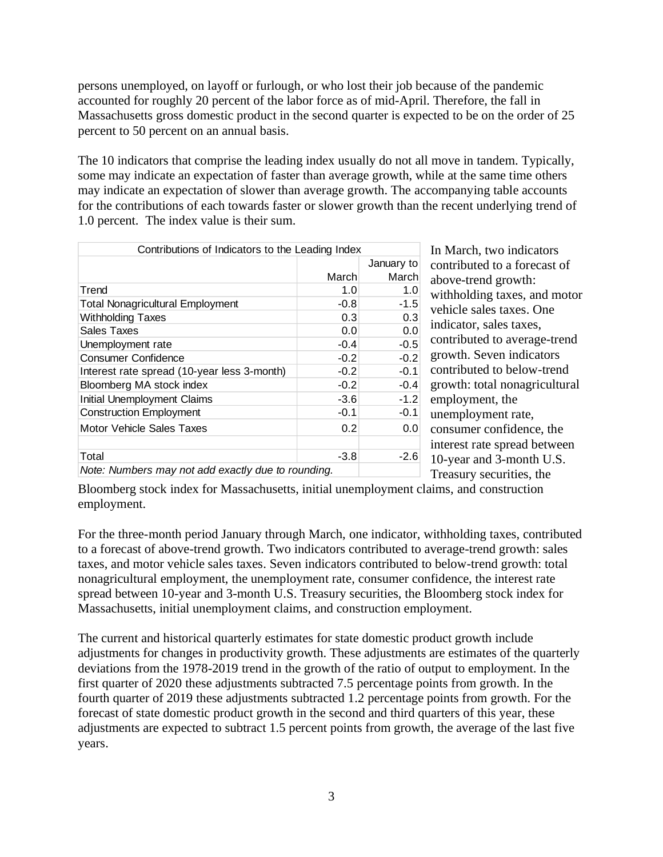persons unemployed, on layoff or furlough, or who lost their job because of the pandemic accounted for roughly 20 percent of the labor force as of mid-April. Therefore, the fall in Massachusetts gross domestic product in the second quarter is expected to be on the order of 25 percent to 50 percent on an annual basis.

The 10 indicators that comprise the leading index usually do not all move in tandem. Typically, some may indicate an expectation of faster than average growth, while at the same time others may indicate an expectation of slower than average growth. The accompanying table accounts for the contributions of each towards faster or slower growth than the recent underlying trend of 1.0 percent. The index value is their sum.

| Contributions of Indicators to the Leading Index   |        |            |  |  |
|----------------------------------------------------|--------|------------|--|--|
|                                                    |        | January to |  |  |
|                                                    | March  | March      |  |  |
| Trend                                              | 1.0    | 1.0        |  |  |
| <b>Total Nonagricultural Employment</b>            | $-0.8$ | $-1.5$     |  |  |
| <b>Withholding Taxes</b>                           | 0.3    | 0.3        |  |  |
| Sales Taxes                                        | 0.0    | 0.0        |  |  |
| Unemployment rate                                  | $-0.4$ | $-0.5$     |  |  |
| <b>Consumer Confidence</b>                         | $-0.2$ | $-0.2$     |  |  |
| Interest rate spread (10-year less 3-month)        | $-0.2$ | $-0.1$     |  |  |
| Bloomberg MA stock index                           | $-0.2$ | $-0.4$     |  |  |
| <b>Initial Unemployment Claims</b>                 | $-3.6$ | $-1.2$     |  |  |
| <b>Construction Employment</b>                     | $-0.1$ | $-0.1$     |  |  |
| Motor Vehicle Sales Taxes                          | 0.2    | 0.0        |  |  |
| Total                                              | $-3.8$ | $-2.6$     |  |  |
| Note: Numbers may not add exactly due to rounding. |        |            |  |  |

In March, two indicators contributed to a forecast of above-trend growth: withholding taxes, and motor vehicle sales taxes. One indicator, sales taxes, contributed to average-trend growth. Seven indicators contributed to below-trend growth: total nonagricultural employment, the unemployment rate, consumer confidence, the interest rate spread between 10-year and 3-month U.S. Treasury securities, the

Bloomberg stock index for Massachusetts, initial unemployment claims, and construction employment.

For the three-month period January through March, one indicator, withholding taxes, contributed to a forecast of above-trend growth. Two indicators contributed to average-trend growth: sales taxes, and motor vehicle sales taxes. Seven indicators contributed to below-trend growth: total nonagricultural employment, the unemployment rate, consumer confidence, the interest rate spread between 10-year and 3-month U.S. Treasury securities, the Bloomberg stock index for Massachusetts, initial unemployment claims, and construction employment.

The current and historical quarterly estimates for state domestic product growth include adjustments for changes in productivity growth. These adjustments are estimates of the quarterly deviations from the 1978-2019 trend in the growth of the ratio of output to employment. In the first quarter of 2020 these adjustments subtracted 7.5 percentage points from growth. In the fourth quarter of 2019 these adjustments subtracted 1.2 percentage points from growth. For the forecast of state domestic product growth in the second and third quarters of this year, these adjustments are expected to subtract 1.5 percent points from growth, the average of the last five years.